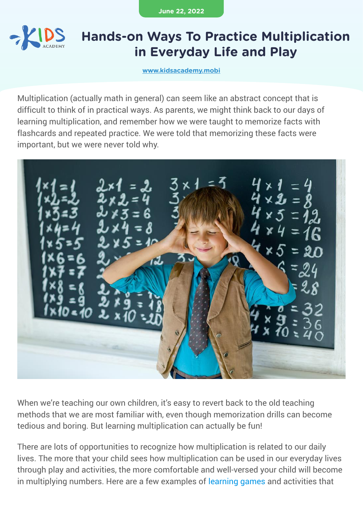**June 22, 2022**



### **Hands-on Ways To Practice Multiplication in Everyday Life and Play**

**[www.kidsacademy.mobi](https://www.kidsacademy.mobi/)**

Multiplication (actually math in general) can seem like an abstract concept that is difficult to think of in practical ways. As parents, we might think back to our days of learning multiplication, and remember how we were taught to memorize facts with flashcards and repeated practice. We were told that memorizing these facts were important, but we were never told why.



When we're teaching our own children, it's easy to revert back to the old teaching methods that we are most familiar with, even though memorization drills can become tedious and boring. But learning multiplication can actually be fun!

There are lots of opportunities to recognize how multiplication is related to our daily lives. The more that your child sees how multiplication can be used in our everyday lives through play and activities, the more comfortable and well-versed your child will become in multiplying numbers. Here are a few examples of [learning games](https://www.ka-stage.ml/learning-games/) and activities that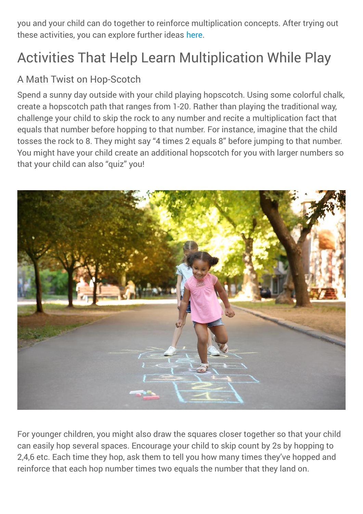you and your child can do together to reinforce multiplication concepts. After trying out these activities, you can explore further ideas [here](https://www.kidsacademy.mobi/storytime/arrays-and-skip-counting-multiplication/).

# Activities That Help Learn Multiplication While Play

#### A Math Twist on Hop-Scotch

Spend a sunny day outside with your child playing hopscotch. Using some colorful chalk, create a hopscotch path that ranges from 1-20. Rather than playing the traditional way, challenge your child to skip the rock to any number and recite a multiplication fact that equals that number before hopping to that number. For instance, imagine that the child tosses the rock to 8. They might say "4 times 2 equals 8" before jumping to that number. You might have your child create an additional hopscotch for you with larger numbers so that your child can also "quiz" you!



For younger children, you might also draw the squares closer together so that your child can easily hop several spaces. Encourage your child to skip count by 2s by hopping to 2,4,6 etc. Each time they hop, ask them to tell you how many times they've hopped and reinforce that each hop number times two equals the number that they land on.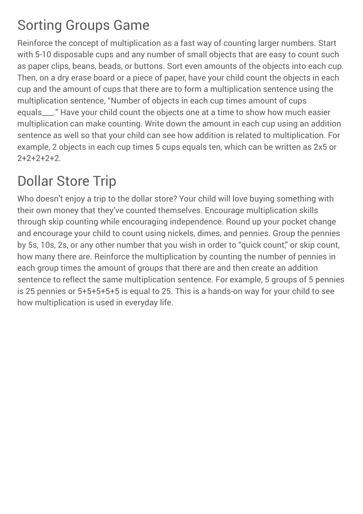### Sorting Groups Game

Reinforce the concept of multiplication as a fast way of counting larger numbers. Start with 5-10 disposable cups and any number of small objects that are easy to count such as paper clips, beans, beads, or buttons. Sort even amounts of the objects into each cup. Then, on a dry erase board or a piece of paper, have your child count the objects in each cup and the amount of cups that there are to form a multiplication sentence using the multiplication sentence, "Number of objects in each cup times amount of cups equals\_\_\_." Have your child count the objects one at a time to show how much easier multiplication can make counting. Write down the amount in each cup using an addition sentence as well so that your child can see how addition is related to multiplication. For example, 2 objects in each cup times 5 cups equals ten, which can be written as 2x5 or  $2+2+2+2+2$ 

## Dollar Store Trip

Who doesn't enjoy a trip to the dollar store? Your child will love buying something with their own money that they've counted themselves. Encourage multiplication skills through skip counting while encouraging independence. Round up your pocket change and encourage your child to count using nickels, dimes, and pennies. Group the pennies by 5s, 10s, 2s, or any other number that you wish in order to "quick count," or skip count, how many there are. Reinforce the multiplication by counting the number of pennies in each group times the amount of groups that there are and then create an addition sentence to reflect the same multiplication sentence. For example, 5 groups of 5 pennies is 25 pennies or 5+5+5+5+5 is equal to 25. This is a hands-on way for your child to see how multiplication is used in everyday life.